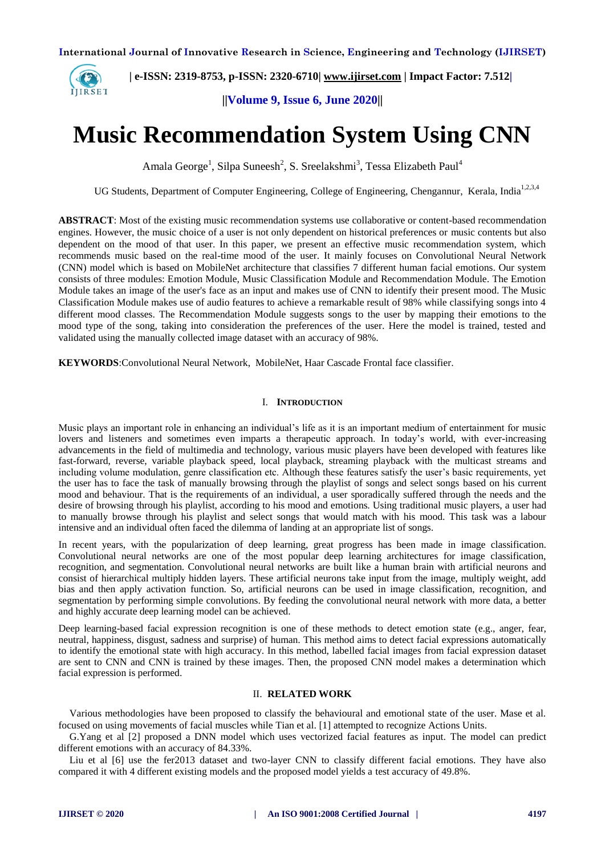

 **| e-ISSN: 2319-8753, p-ISSN: 2320-6710| [www.ijirset.com](http://www.ijirset.com/) | Impact Factor: 7.512|**

**||Volume 9, Issue 6, June 2020||** 

# **Music Recommendation System Using CNN**

Amala George<sup>1</sup>, Silpa Suneesh<sup>2</sup>, S. Sreelakshmi<sup>3</sup>, Tessa Elizabeth Paul<sup>4</sup>

UG Students, Department of Computer Engineering, College of Engineering, Chengannur, Kerala. India<sup>1,2,3,4</sup>

**ABSTRACT**: Most of the existing music recommendation systems use collaborative or content-based recommendation engines. However, the music choice of a user is not only dependent on historical preferences or music contents but also dependent on the mood of that user. In this paper, we present an effective music recommendation system, which recommends music based on the real-time mood of the user. It mainly focuses on Convolutional Neural Network (CNN) model which is based on MobileNet architecture that classifies 7 different human facial emotions. Our system consists of three modules: Emotion Module, Music Classification Module and Recommendation Module. The Emotion Module takes an image of the user's face as an input and makes use of CNN to identify their present mood. The Music Classification Module makes use of audio features to achieve a remarkable result of 98% while classifying songs into 4 different mood classes. The Recommendation Module suggests songs to the user by mapping their emotions to the mood type of the song, taking into consideration the preferences of the user. Here the model is trained, tested and validated using the manually collected image dataset with an accuracy of 98%.

**KEYWORDS**:Convolutional Neural Network, MobileNet, Haar Cascade Frontal face classifier.

#### I. **INTRODUCTION**

Music plays an important role in enhancing an individual's life as it is an important medium of entertainment for music lovers and listeners and sometimes even imparts a therapeutic approach. In today's world, with ever-increasing advancements in the field of multimedia and technology, various music players have been developed with features like fast-forward, reverse, variable playback speed, local playback, streaming playback with the multicast streams and including volume modulation, genre classification etc. Although these features satisfy the user's basic requirements, yet the user has to face the task of manually browsing through the playlist of songs and select songs based on his current mood and behaviour. That is the requirements of an individual, a user sporadically suffered through the needs and the desire of browsing through his playlist, according to his mood and emotions. Using traditional music players, a user had to manually browse through his playlist and select songs that would match with his mood. This task was a labour intensive and an individual often faced the dilemma of landing at an appropriate list of songs.

In recent years, with the popularization of deep learning, great progress has been made in image classification. Convolutional neural networks are one of the most popular deep learning architectures for image classification, recognition, and segmentation. Convolutional neural networks are built like a human brain with artificial neurons and consist of hierarchical multiply hidden layers. These artificial neurons take input from the image, multiply weight, add bias and then apply activation function. So, artificial neurons can be used in image classification, recognition, and segmentation by performing simple convolutions. By feeding the convolutional neural network with more data, a better and highly accurate deep learning model can be achieved.

Deep learning-based facial expression recognition is one of these methods to detect emotion state (e.g., anger, fear, neutral, happiness, disgust, sadness and surprise) of human. This method aims to detect facial expressions automatically to identify the emotional state with high accuracy. In this method, labelled facial images from facial expression dataset are sent to CNN and CNN is trained by these images. Then, the proposed CNN model makes a determination which facial expression is performed.

# II. **RELATED WORK**

Various methodologies have been proposed to classify the behavioural and emotional state of the user. Mase et al. focused on using movements of facial muscles while Tian et al. [1] attempted to recognize Actions Units.

G.Yang et al [2] proposed a DNN model which uses vectorized facial features as input. The model can predict different emotions with an accuracy of 84.33%.

Liu et al [6] use the fer2013 dataset and two-layer CNN to classify different facial emotions. They have also compared it with 4 different existing models and the proposed model yields a test accuracy of 49.8%.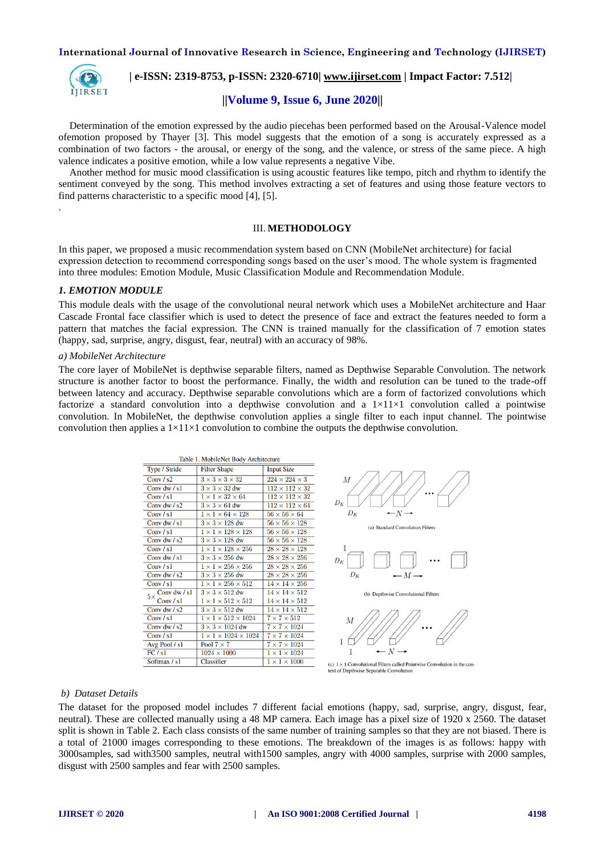

.

# **| e-ISSN: 2319-8753, p-ISSN: 2320-6710| [www.ijirset.com](http://www.ijirset.com/) | Impact Factor: 7.512|**

# **||Volume 9, Issue 6, June 2020||**

Determination of the emotion expressed by the audio piecehas been performed based on the Arousal-Valence model ofemotion proposed by Thayer [3]. This model suggests that the emotion of a song is accurately expressed as a combination of two factors - the arousal, or energy of the song, and the valence, or stress of the same piece. A high valence indicates a positive emotion, while a low value represents a negative Vibe.

Another method for music mood classification is using acoustic features like tempo, pitch and rhythm to identify the sentiment conveyed by the song. This method involves extracting a set of features and using those feature vectors to find patterns characteristic to a specific mood [4], [5].

#### III. **METHODOLOGY**

In this paper, we proposed a music recommendation system based on CNN (MobileNet architecture) for facial expression detection to recommend corresponding songs based on the user's mood. The whole system is fragmented into three modules: Emotion Module, Music Classification Module and Recommendation Module.

#### *1. EMOTION MODULE*

This module deals with the usage of the convolutional neural network which uses a MobileNet architecture and Haar Cascade Frontal face classifier which is used to detect the presence of face and extract the features needed to form a pattern that matches the facial expression. The CNN is trained manually for the classification of 7 emotion states (happy, sad, surprise, angry, disgust, fear, neutral) with an accuracy of 98%.

#### *a) MobileNet Architecture*

The core layer of MobileNet is depthwise separable filters, named as Depthwise Separable Convolution. The network structure is another factor to boost the performance. Finally, the width and resolution can be tuned to the trade-off between latency and accuracy. Depthwise separable convolutions which are a form of factorized convolutions which factorize a standard convolution into a depthwise convolution and a  $1\times11\times1$  convolution called a pointwise convolution. In MobileNet, the depthwise convolution applies a single filter to each input channel. The pointwise convolution then applies a  $1\times11\times1$  convolution to combine the outputs the depthwise convolution.

| Table 1. MobileNet Body Architecture |                                      |                                      |
|--------------------------------------|--------------------------------------|--------------------------------------|
| Type / Stride                        | <b>Filter Shape</b>                  | <b>Input Size</b>                    |
| Conv $/s2$                           | $3 \times 3 \times 3 \times 32$      | $\overline{224} \times 224 \times 3$ |
| Conv dw $/s1$                        | $3 \times 3 \times 32$ dw            | $112 \times 112 \times 32$           |
| Conv/s1                              | $1 \times 1 \times 32 \times 64$     | $112 \times 112 \times 32$           |
| Conv dw $/s2$                        | $3 \times 3 \times 64$ dw            | $112 \times 112 \times 64$           |
| Conv $/s1$                           | $1 \times 1 \times 64 \times 128$    | $56 \times 56 \times 64$             |
| Conv dw $/s1$                        | $3 \times 3 \times 128$ dw           | $56 \times 56 \times 128$            |
| Conv $/s1$                           | $1 \times 1 \times 128 \times 128$   | $56 \times 56 \times 128$            |
| Conv dw $/s2$                        | $3 \times 3 \times 128$ dw           | $56 \times 56 \times 128$            |
| Conv $/s1$                           | $1 \times 1 \times 128 \times 256$   | $28 \times 28 \times 128$            |
| Conv dw / s1                         | $3 \times 3 \times 256$ dw           | $28 \times 28 \times 256$            |
| Conv / s1                            | $1 \times 1 \times 256 \times 256$   | $28\times28\times256$                |
| Conv dw / s2                         | $3 \times 3 \times 256$ dw           | $28 \times 28 \times 256$            |
| Conv $/s1$                           | $1 \times 1 \times 256 \times 512$   | $14 \times 14 \times 256$            |
| Conv dw / s1<br>$5\times$            | $3 \times 3 \times 512$ dw           | $14 \times 14 \times 512$            |
| Conv / $s1$                          | $1 \times 1 \times 512 \times 512$   | $14 \times 14 \times 512$            |
| Conv dw $/s2$                        | $3 \times 3 \times 512$ dw           | $14 \times 14 \times 512$            |
| Conv / $s1$                          | $1 \times 1 \times 512 \times 1024$  | $7 \times 7 \times 512$              |
| Conv dw $/s2$                        | $3 \times 3 \times 1024$ dw          | $7 \times 7 \times 1024$             |
| Conv / $s1$                          | $1 \times 1 \times 1024 \times 1024$ | $7 \times 7 \times 1024$             |
| Avg Pool / s1                        | Pool $7 \times 7$                    | $7 \times 7 \times 1024$             |
| FC/s1                                | $1024 \times 1000$                   | $1 \times 1 \times 1024$             |
| Softmax / s1                         | <b>Classifier</b>                    | $1 \times 1 \times 1000$             |



(a) Standard Convolution Filters



(b) Depthwise Convolutional Filters



(c)  $1 \times 1$  Convolutional Filters called Pointwise Convolution in the con text of Depthwise Separable Convolutio

## *b) Dataset Details*

The dataset for the proposed model includes 7 different facial emotions (happy, sad, surprise, angry, disgust, fear, neutral). These are collected manually using a 48 MP camera. Each image has a pixel size of 1920 x 2560. The dataset split is shown in Table 2. Each class consists of the same number of training samples so that they are not biased. There is a total of 21000 images corresponding to these emotions. The breakdown of the images is as follows: happy with 3000samples, sad with3500 samples, neutral with1500 samples, angry with 4000 samples, surprise with 2000 samples, disgust with 2500 samples and fear with 2500 samples.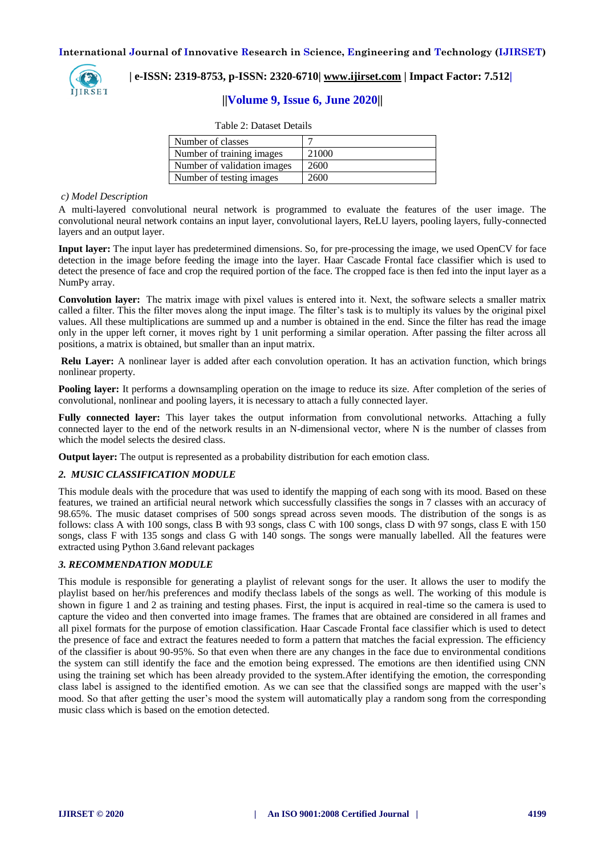

# **| e-ISSN: 2319-8753, p-ISSN: 2320-6710| [www.ijirset.com](http://www.ijirset.com/) | Impact Factor: 7.512|**

# **||Volume 9, Issue 6, June 2020||**

| Table 2: Dataset Details |  |
|--------------------------|--|
|--------------------------|--|

| Number of classes           |       |
|-----------------------------|-------|
| Number of training images   | 21000 |
| Number of validation images | 2600  |
| Number of testing images    | 2600  |

#### *c) Model Description*

A multi-layered convolutional neural network is programmed to evaluate the features of the user image. The convolutional neural network contains an input layer, convolutional layers, ReLU layers, pooling layers, fully-connected layers and an output layer.

**Input layer:** The input layer has predetermined dimensions. So, for pre-processing the image, we used OpenCV for face detection in the image before feeding the image into the layer. Haar Cascade Frontal face classifier which is used to detect the presence of face and crop the required portion of the face. The cropped face is then fed into the input layer as a NumPy array.

**Convolution layer:** Тhe matrix image with pixel values is entered into it. Next, the software selects a smaller matrix called a filter. This the filter moves along the input image. The filter's task is to multiply its values by the original pixel values. All these multiplications are summed up and a number is obtained in the end. Since the filter has read the image only in the upper left corner, it moves right by 1 unit performing a similar operation. After passing the filter across all positions, a matrix is obtained, but smaller than an input matrix.

**Relu Layer:** A nonlinear layer is added after each convolution operation. It has an activation function, which brings nonlinear property.

**Pooling layer:** It performs a downsampling operation on the image to reduce its size. After completion of the series of convolutional, nonlinear and pooling layers, it is necessary to attach a fully connected layer.

**Fully connected layer:** This layer takes the output information from convolutional networks. Attaching a fully connected layer to the end of the network results in an N-dimensional vector, where N is the number of classes from which the model selects the desired class.

**Output layer:** The output is represented as a probability distribution for each emotion class.

#### *2. MUSIC CLASSIFICATION MODULE*

This module deals with the procedure that was used to identify the mapping of each song with its mood. Based on these features, we trained an artificial neural network which successfully classifies the songs in 7 classes with an accuracy of 98.65%. The music dataset comprises of 500 songs spread across seven moods. The distribution of the songs is as follows: class A with 100 songs, class B with 93 songs, class C with 100 songs, class D with 97 songs, class E with 150 songs, class F with 135 songs and class G with 140 songs. The songs were manually labelled. All the features were extracted using Python 3.6and relevant packages

#### *3. RECOMMENDATION MODULE*

This module is responsible for generating a playlist of relevant songs for the user. It allows the user to modify the playlist based on her/his preferences and modify theclass labels of the songs as well. The working of this module is shown in figure 1 and 2 as training and testing phases. First, the input is acquired in real-time so the camera is used to capture the video and then converted into image frames. The frames that are obtained are considered in all frames and all pixel formats for the purpose of emotion classification. Haar Cascade Frontal face classifier which is used to detect the presence of face and extract the features needed to form a pattern that matches the facial expression. The efficiency of the classifier is about 90-95%. So that even when there are any changes in the face due to environmental conditions the system can still identify the face and the emotion being expressed. The emotions are then identified using CNN using the training set which has been already provided to the system.After identifying the emotion, the corresponding class label is assigned to the identified emotion. As we can see that the classified songs are mapped with the user's mood. So that after getting the user's mood the system will automatically play a random song from the corresponding music class which is based on the emotion detected.